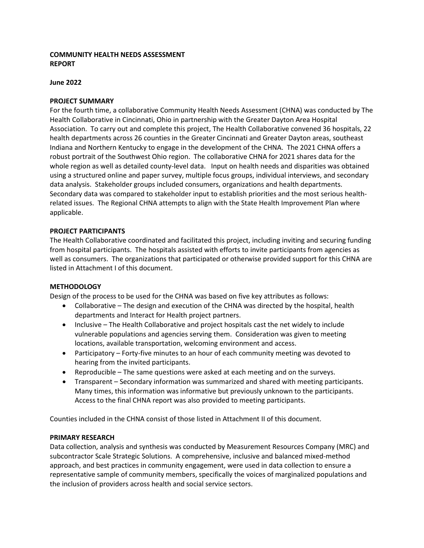## **COMMUNITY HEALTH NEEDS ASSESSMENT REPORT**

#### **June 2022**

#### **PROJECT SUMMARY**

For the fourth time, a collaborative Community Health Needs Assessment (CHNA) was conducted by The Health Collaborative in Cincinnati, Ohio in partnership with the Greater Dayton Area Hospital Association. To carry out and complete this project, The Health Collaborative convened 36 hospitals, 22 health departments across 26 counties in the Greater Cincinnati and Greater Dayton areas, southeast Indiana and Northern Kentucky to engage in the development of the CHNA. The 2021 CHNA offers a robust portrait of the Southwest Ohio region. The collaborative CHNA for 2021 shares data for the whole region as well as detailed county-level data. Input on health needs and disparities was obtained using a structured online and paper survey, multiple focus groups, individual interviews, and secondary data analysis. Stakeholder groups included consumers, organizations and health departments. Secondary data was compared to stakeholder input to establish priorities and the most serious healthrelated issues. The Regional CHNA attempts to align with the State Health Improvement Plan where applicable.

#### **PROJECT PARTICIPANTS**

The Health Collaborative coordinated and facilitated this project, including inviting and securing funding from hospital participants. The hospitals assisted with efforts to invite participants from agencies as well as consumers. The organizations that participated or otherwise provided support for this CHNA are listed in Attachment I of this document.

#### **METHODOLOGY**

Design of the process to be used for the CHNA was based on five key attributes as follows:

- Collaborative The design and execution of the CHNA was directed by the hospital, health departments and Interact for Health project partners.
- Inclusive The Health Collaborative and project hospitals cast the net widely to include vulnerable populations and agencies serving them. Consideration was given to meeting locations, available transportation, welcoming environment and access.
- Participatory Forty-five minutes to an hour of each community meeting was devoted to hearing from the invited participants.
- Reproducible The same questions were asked at each meeting and on the surveys.
- Transparent Secondary information was summarized and shared with meeting participants. Many times, this information was informative but previously unknown to the participants. Access to the final CHNA report was also provided to meeting participants.

Counties included in the CHNA consist of those listed in Attachment II of this document.

#### **PRIMARY RESEARCH**

Data collection, analysis and synthesis was conducted by Measurement Resources Company (MRC) and subcontractor Scale Strategic Solutions. A comprehensive, inclusive and balanced mixed-method approach, and best practices in community engagement, were used in data collection to ensure a representative sample of community members, specifically the voices of marginalized populations and the inclusion of providers across health and social service sectors.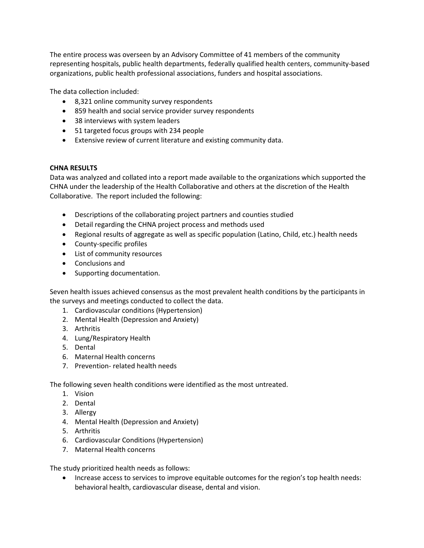The entire process was overseen by an Advisory Committee of 41 members of the community representing hospitals, public health departments, federally qualified health centers, community-based organizations, public health professional associations, funders and hospital associations.

The data collection included:

- 8,321 online community survey respondents
- 859 health and social service provider survey respondents
- 38 interviews with system leaders
- 51 targeted focus groups with 234 people
- Extensive review of current literature and existing community data.

## **CHNA RESULTS**

Data was analyzed and collated into a report made available to the organizations which supported the CHNA under the leadership of the Health Collaborative and others at the discretion of the Health Collaborative. The report included the following:

- Descriptions of the collaborating project partners and counties studied
- Detail regarding the CHNA project process and methods used
- Regional results of aggregate as well as specific population (Latino, Child, etc.) health needs
- County-specific profiles
- List of community resources
- Conclusions and
- Supporting documentation.

Seven health issues achieved consensus as the most prevalent health conditions by the participants in the surveys and meetings conducted to collect the data.

- 1. Cardiovascular conditions (Hypertension)
- 2. Mental Health (Depression and Anxiety)
- 3. Arthritis
- 4. Lung/Respiratory Health
- 5. Dental
- 6. Maternal Health concerns
- 7. Prevention- related health needs

The following seven health conditions were identified as the most untreated.

- 1. Vision
- 2. Dental
- 3. Allergy
- 4. Mental Health (Depression and Anxiety)
- 5. Arthritis
- 6. Cardiovascular Conditions (Hypertension)
- 7. Maternal Health concerns

The study prioritized health needs as follows:

• Increase access to services to improve equitable outcomes for the region's top health needs: behavioral health, cardiovascular disease, dental and vision.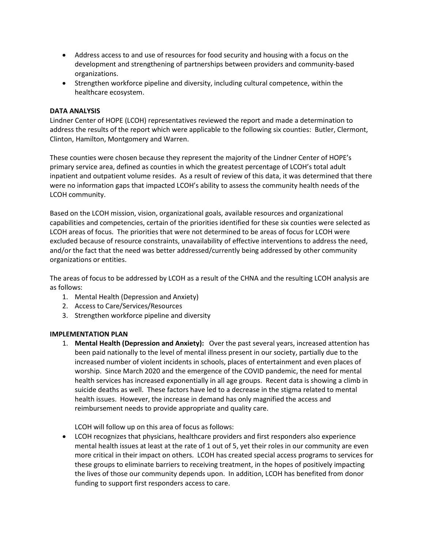- Address access to and use of resources for food security and housing with a focus on the development and strengthening of partnerships between providers and community-based organizations.
- Strengthen workforce pipeline and diversity, including cultural competence, within the healthcare ecosystem.

#### **DATA ANALYSIS**

Lindner Center of HOPE (LCOH) representatives reviewed the report and made a determination to address the results of the report which were applicable to the following six counties: Butler, Clermont, Clinton, Hamilton, Montgomery and Warren.

These counties were chosen because they represent the majority of the Lindner Center of HOPE's primary service area, defined as counties in which the greatest percentage of LCOH's total adult inpatient and outpatient volume resides. As a result of review of this data, it was determined that there were no information gaps that impacted LCOH's ability to assess the community health needs of the LCOH community.

Based on the LCOH mission, vision, organizational goals, available resources and organizational capabilities and competencies, certain of the priorities identified for these six counties were selected as LCOH areas of focus. The priorities that were not determined to be areas of focus for LCOH were excluded because of resource constraints, unavailability of effective interventions to address the need, and/or the fact that the need was better addressed/currently being addressed by other community organizations or entities.

The areas of focus to be addressed by LCOH as a result of the CHNA and the resulting LCOH analysis are as follows:

- 1. Mental Health (Depression and Anxiety)
- 2. Access to Care/Services/Resources
- 3. Strengthen workforce pipeline and diversity

## **IMPLEMENTATION PLAN**

1. **Mental Health (Depression and Anxiety):** Over the past several years, increased attention has been paid nationally to the level of mental illness present in our society, partially due to the increased number of violent incidents in schools, places of entertainment and even places of worship. Since March 2020 and the emergence of the COVID pandemic, the need for mental health services has increased exponentially in all age groups. Recent data is showing a climb in suicide deaths as well. These factors have led to a decrease in the stigma related to mental health issues. However, the increase in demand has only magnified the access and reimbursement needs to provide appropriate and quality care.

LCOH will follow up on this area of focus as follows:

• LCOH recognizes that physicians, healthcare providers and first responders also experience mental health issues at least at the rate of 1 out of 5, yet their roles in our community are even more critical in their impact on others. LCOH has created special access programs to services for these groups to eliminate barriers to receiving treatment, in the hopes of positively impacting the lives of those our community depends upon. In addition, LCOH has benefited from donor funding to support first responders access to care.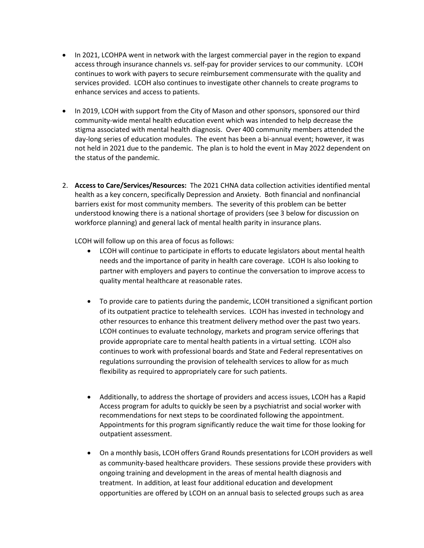- In 2021, LCOHPA went in network with the largest commercial payer in the region to expand access through insurance channels vs. self-pay for provider services to our community. LCOH continues to work with payers to secure reimbursement commensurate with the quality and services provided. LCOH also continues to investigate other channels to create programs to enhance services and access to patients.
- In 2019, LCOH with support from the City of Mason and other sponsors, sponsored our third community-wide mental health education event which was intended to help decrease the stigma associated with mental health diagnosis. Over 400 community members attended the day-long series of education modules. The event has been a bi-annual event; however, it was not held in 2021 due to the pandemic. The plan is to hold the event in May 2022 dependent on the status of the pandemic.
- 2. **Access to Care/Services/Resources:** The 2021 CHNA data collection activities identified mental health as a key concern, specifically Depression and Anxiety. Both financial and nonfinancial barriers exist for most community members. The severity of this problem can be better understood knowing there is a national shortage of providers (see 3 below for discussion on workforce planning) and general lack of mental health parity in insurance plans.

LCOH will follow up on this area of focus as follows:

- LCOH will continue to participate in efforts to educate legislators about mental health needs and the importance of parity in health care coverage. LCOH Is also looking to partner with employers and payers to continue the conversation to improve access to quality mental healthcare at reasonable rates.
- To provide care to patients during the pandemic, LCOH transitioned a significant portion of its outpatient practice to telehealth services. LCOH has invested in technology and other resources to enhance this treatment delivery method over the past two years. LCOH continues to evaluate technology, markets and program service offerings that provide appropriate care to mental health patients in a virtual setting. LCOH also continues to work with professional boards and State and Federal representatives on regulations surrounding the provision of telehealth services to allow for as much flexibility as required to appropriately care for such patients.
- Additionally, to address the shortage of providers and access issues, LCOH has a Rapid Access program for adults to quickly be seen by a psychiatrist and social worker with recommendations for next steps to be coordinated following the appointment. Appointments for this program significantly reduce the wait time for those looking for outpatient assessment.
- On a monthly basis, LCOH offers Grand Rounds presentations for LCOH providers as well as community-based healthcare providers. These sessions provide these providers with ongoing training and development in the areas of mental health diagnosis and treatment. In addition, at least four additional education and development opportunities are offered by LCOH on an annual basis to selected groups such as area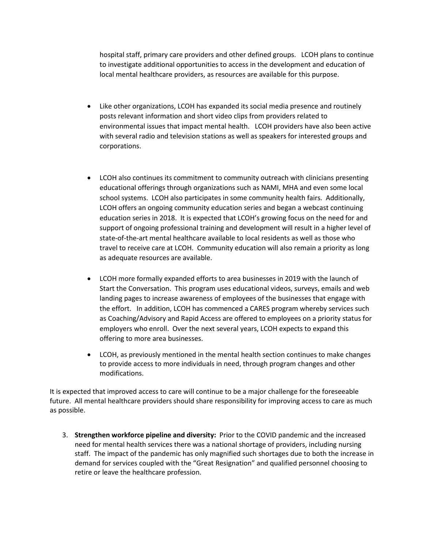hospital staff, primary care providers and other defined groups. LCOH plans to continue to investigate additional opportunities to access in the development and education of local mental healthcare providers, as resources are available for this purpose.

- Like other organizations, LCOH has expanded its social media presence and routinely posts relevant information and short video clips from providers related to environmental issues that impact mental health. LCOH providers have also been active with several radio and television stations as well as speakers for interested groups and corporations.
- LCOH also continues its commitment to community outreach with clinicians presenting educational offerings through organizations such as NAMI, MHA and even some local school systems. LCOH also participates in some community health fairs. Additionally, LCOH offers an ongoing community education series and began a webcast continuing education series in 2018. It is expected that LCOH's growing focus on the need for and support of ongoing professional training and development will result in a higher level of state-of-the-art mental healthcare available to local residents as well as those who travel to receive care at LCOH. Community education will also remain a priority as long as adequate resources are available.
- LCOH more formally expanded efforts to area businesses in 2019 with the launch of Start the Conversation. This program uses educational videos, surveys, emails and web landing pages to increase awareness of employees of the businesses that engage with the effort. In addition, LCOH has commenced a CARES program whereby services such as Coaching/Advisory and Rapid Access are offered to employees on a priority status for employers who enroll. Over the next several years, LCOH expects to expand this offering to more area businesses.
- LCOH, as previously mentioned in the mental health section continues to make changes to provide access to more individuals in need, through program changes and other modifications.

It is expected that improved access to care will continue to be a major challenge for the foreseeable future. All mental healthcare providers should share responsibility for improving access to care as much as possible.

3. **Strengthen workforce pipeline and diversity:** Prior to the COVID pandemic and the increased need for mental health services there was a national shortage of providers, including nursing staff. The impact of the pandemic has only magnified such shortages due to both the increase in demand for services coupled with the "Great Resignation" and qualified personnel choosing to retire or leave the healthcare profession.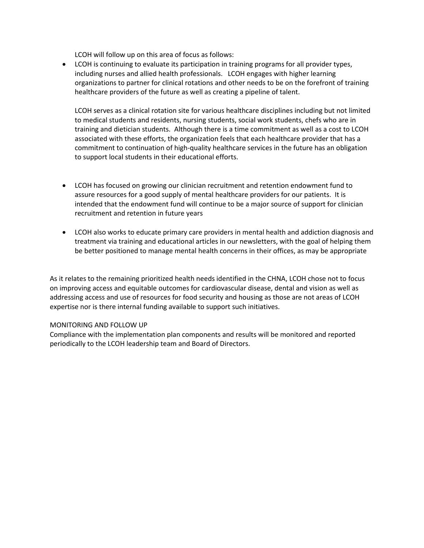LCOH will follow up on this area of focus as follows:

• LCOH is continuing to evaluate its participation in training programs for all provider types, including nurses and allied health professionals. LCOH engages with higher learning organizations to partner for clinical rotations and other needs to be on the forefront of training healthcare providers of the future as well as creating a pipeline of talent.

LCOH serves as a clinical rotation site for various healthcare disciplines including but not limited to medical students and residents, nursing students, social work students, chefs who are in training and dietician students. Although there is a time commitment as well as a cost to LCOH associated with these efforts, the organization feels that each healthcare provider that has a commitment to continuation of high-quality healthcare services in the future has an obligation to support local students in their educational efforts.

- LCOH has focused on growing our clinician recruitment and retention endowment fund to assure resources for a good supply of mental healthcare providers for our patients. It is intended that the endowment fund will continue to be a major source of support for clinician recruitment and retention in future years
- LCOH also works to educate primary care providers in mental health and addiction diagnosis and treatment via training and educational articles in our newsletters, with the goal of helping them be better positioned to manage mental health concerns in their offices, as may be appropriate

As it relates to the remaining prioritized health needs identified in the CHNA, LCOH chose not to focus on improving access and equitable outcomes for cardiovascular disease, dental and vision as well as addressing access and use of resources for food security and housing as those are not areas of LCOH expertise nor is there internal funding available to support such initiatives.

## MONITORING AND FOLLOW UP

Compliance with the implementation plan components and results will be monitored and reported periodically to the LCOH leadership team and Board of Directors.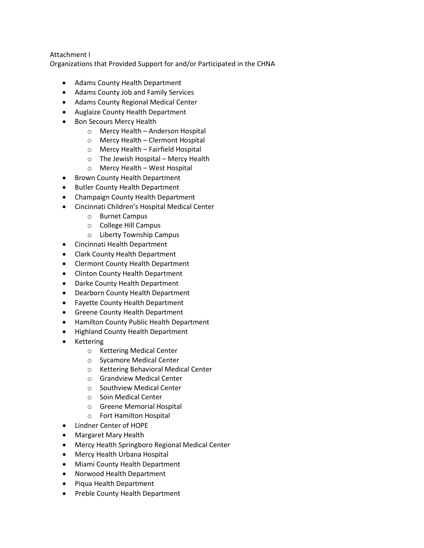## Attachment I

Organizations that Provided Support for and/or Participated in the CHNA

- Adams County Health Department
- Adams County Job and Family Services
- Adams County Regional Medical Center
- Auglaize County Health Department
- Bon Secours Mercy Health
	- o Mercy Health Anderson Hospital
	- o Mercy Health Clermont Hospital
	- o Mercy Health Fairfield Hospital
	- o The Jewish Hospital Mercy Health
	- o Mercy Health West Hospital
- Brown County Health Department
- Butler County Health Department
- Champaign County Health Department
- Cincinnati Children's Hospital Medical Center
	- o Burnet Campus
	- o College Hill Campus
	- o Liberty Township Campus
- Cincinnati Health Department
- Clark County Health Department
- Clermont County Health Department
- Clinton County Health Department
- Darke County Health Department
- Dearborn County Health Department
- Fayette County Health Department
- Greene County Health Department
- Hamilton County Public Health Department
- Highland County Health Department
- **Kettering** 
	- o Kettering Medical Center
	- o Sycamore Medical Center
	- o Kettering Behavioral Medical Center
	- o Grandview Medical Center
	- o Southview Medical Center
	- o Soin Medical Center
	- o Greene Memorial Hospital
	- o Fort Hamilton Hospital
- Lindner Center of HOPE
- Margaret Mary Health
- Mercy Health Springboro Regional Medical Center
- Mercy Health Urbana Hospital
- Miami County Health Department
- Norwood Health Department
- Piqua Health Department
- Preble County Health Department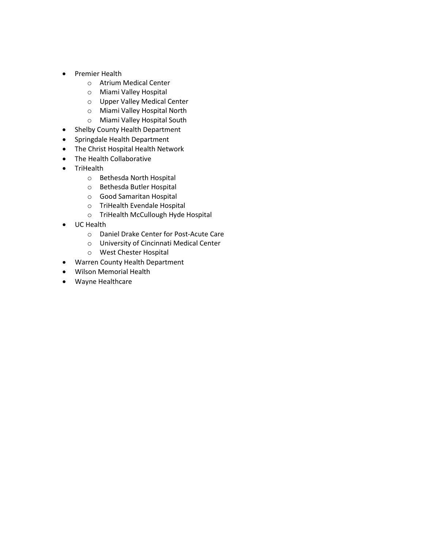- Premier Health
	- o Atrium Medical Center
	- o Miami Valley Hospital
	- o Upper Valley Medical Center
	- o Miami Valley Hospital North
	- o Miami Valley Hospital South
- Shelby County Health Department
- Springdale Health Department
- The Christ Hospital Health Network
- The Health Collaborative
- TriHealth
	- o Bethesda North Hospital
	- o Bethesda Butler Hospital
	- o Good Samaritan Hospital
	- o TriHealth Evendale Hospital
	- o TriHealth McCullough Hyde Hospital
- UC Health
	- o Daniel Drake Center for Post-Acute Care
	- o University of Cincinnati Medical Center
	- o West Chester Hospital
- Warren County Health Department
- Wilson Memorial Health
- Wayne Healthcare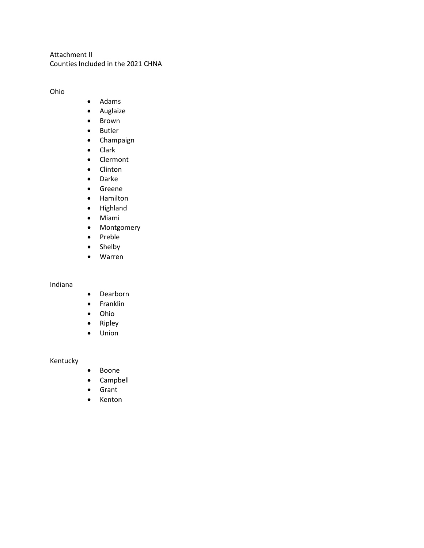Attachment II Counties Included in the 2021 CHNA

Ohio

- Adams
- Auglaize
- Brown
- Butler
- Champaign
- Clark
- Clermont
- Clinton
- Darke
- Greene
- Hamilton
- Highland
- Miami
- Montgomery
- Preble
- Shelby
- Warren

Indiana

- Dearborn
- Franklin
- Ohio
- Ripley
- Union

Kentucky

- Boone
- Campbell
- Grant
- Kenton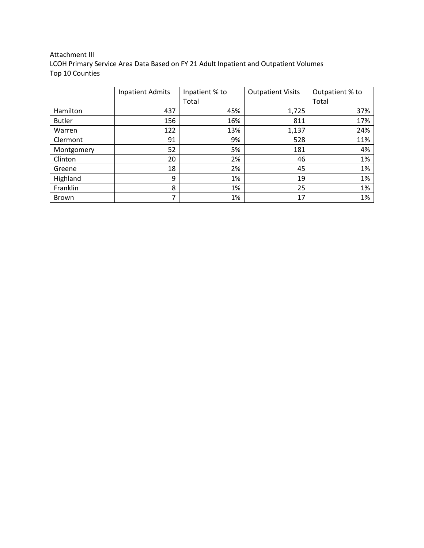## Attachment III LCOH Primary Service Area Data Based on FY 21 Adult Inpatient and Outpatient Volumes Top 10 Counties

|               | <b>Inpatient Admits</b> | Inpatient % to | <b>Outpatient Visits</b> | Outpatient % to |  |
|---------------|-------------------------|----------------|--------------------------|-----------------|--|
|               |                         | Total          |                          | Total           |  |
| Hamilton      | 437                     | 45%            | 1,725                    | 37%             |  |
| <b>Butler</b> | 156                     | 16%            | 811                      | 17%             |  |
| Warren        | 122                     | 13%            | 1,137                    | 24%             |  |
| Clermont      | 91                      | 9%             | 528                      | 11%             |  |
| Montgomery    | 52                      | 5%             | 181                      | 4%              |  |
| Clinton       | 20                      | 2%             | 46                       | 1%              |  |
| Greene        | 18                      | 2%             | 45                       | 1%              |  |
| Highland      | 9                       | 1%             | 19                       | 1%              |  |
| Franklin      | 8                       | 1%             | 25                       | 1%              |  |
| <b>Brown</b>  | 7                       | 1%             | 17                       | 1%              |  |